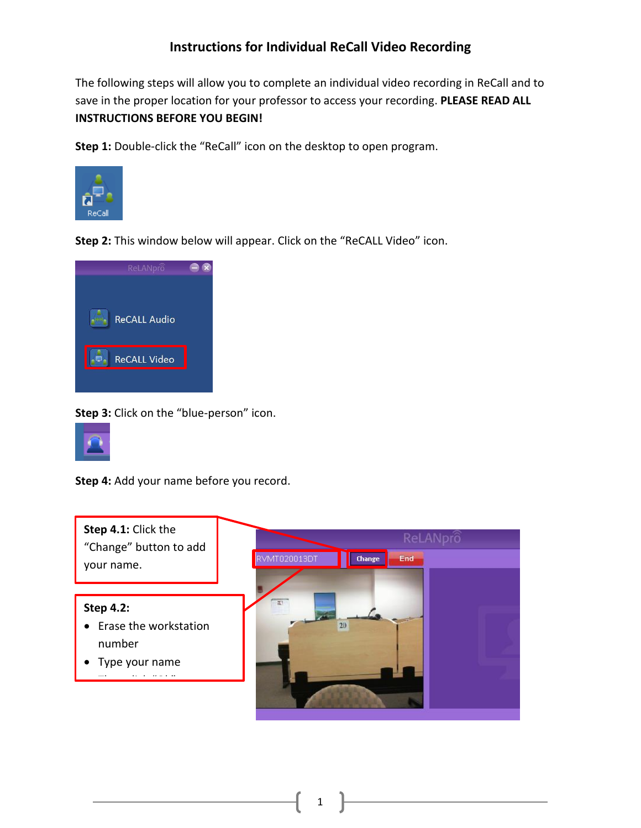## **Instructions for Individual ReCall Video Recording**

The following steps will allow you to complete an individual video recording in ReCall and to save in the proper location for your professor to access your recording. **PLEASE READ ALL INSTRUCTIONS BEFORE YOU BEGIN!**

**Step 1:** Double-click the "ReCall" icon on the desktop to open program.



**Step 2:** This window below will appear. Click on the "ReCALL Video" icon.



**Step 3:** Click on the "blue-person" icon.



**Step 4:** Add your name before you record.



1